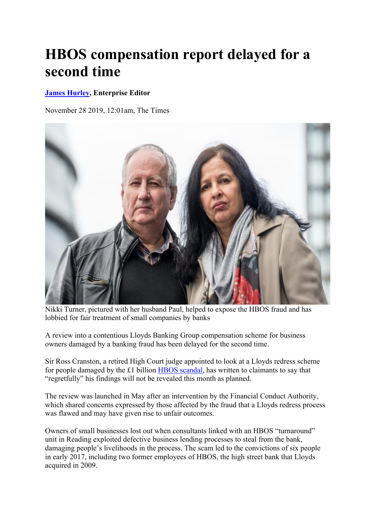## **HBOS compensation report delayed for a second time**

## **James Hurley, Enterprise Editor**

November 28 2019, 12:01am, The Times



Nikki Turner, pictured with her husband Paul, helped to expose the HBOS fraud and has lobbied for fair treatment of small companies by banks

A review into a contentious Lloyds Banking Group compensation scheme for business owners damaged by a banking fraud has been delayed for the second time.

Sir Ross Cranston, a retired High Court judge appointed to look at a Lloyds redress scheme for people damaged by the £1 billion HBOS scandal, has written to claimants to say that "regretfully" his findings will not be revealed this month as planned.

The review was launched in May after an intervention by the Financial Conduct Authority, which shared concerns expressed by those affected by the fraud that a Lloyds redress process was flawed and may have given rise to unfair outcomes.

Owners of small businesses lost out when consultants linked with an HBOS "turnaround" unit in Reading exploited defective business lending processes to steal from the bank, damaging people's livelihoods in the process. The scam led to the convictions of six people in early 2017, including two former employees of HBOS, the high street bank that Lloyds acquired in 2009.